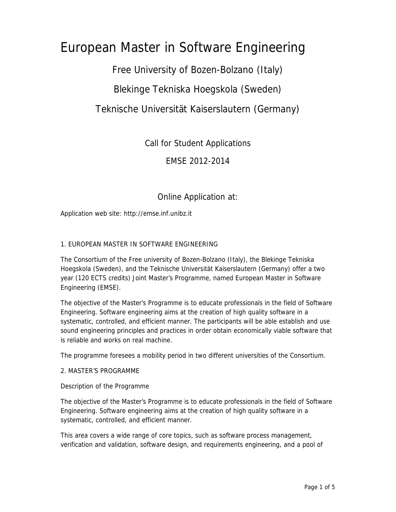# European Master in Software Engineering

Free University of Bozen-Bolzano (Italy)

Blekinge Tekniska Hoegskola (Sweden)

Teknische Universität Kaiserslautern (Germany)

Call for Student Applications

EMSE 2012-2014

Online Application at:

Application web site: http://emse.inf.unibz.it

#### 1. EUROPEAN MASTER IN SOFTWARE ENGINEERING

The Consortium of the Free university of Bozen-Bolzano (Italy), the Blekinge Tekniska Hoegskola (Sweden), and the Teknische Universität Kaiserslautern (Germany) offer a two year (120 ECTS credits) Joint Master's Programme, named European Master in Software Engineering (EMSE).

The objective of the Master's Programme is to educate professionals in the field of Software Engineering. Software engineering aims at the creation of high quality software in a systematic, controlled, and efficient manner. The participants will be able establish and use sound engineering principles and practices in order obtain economically viable software that is reliable and works on real machine.

The programme foresees a mobility period in two different universities of the Consortium.

#### 2. MASTER'S PROGRAMME

Description of the Programme

The objective of the Master's Programme is to educate professionals in the field of Software Engineering. Software engineering aims at the creation of high quality software in a systematic, controlled, and efficient manner.

This area covers a wide range of core topics, such as software process management, verification and validation, software design, and requirements engineering, and a pool of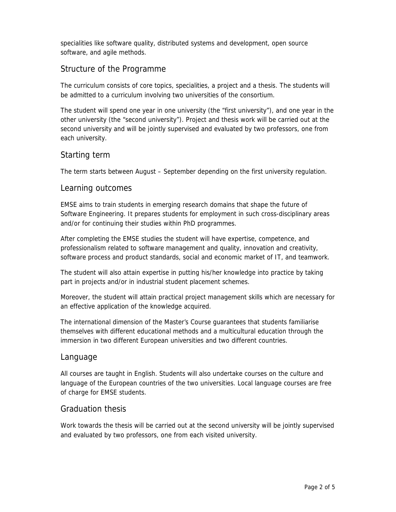specialities like software quality, distributed systems and development, open source software, and agile methods.

# Structure of the Programme

The curriculum consists of core topics, specialities, a project and a thesis. The students will be admitted to a curriculum involving two universities of the consortium.

The student will spend one year in one university (the "first university"), and one year in the other university (the "second university"). Project and thesis work will be carried out at the second university and will be jointly supervised and evaluated by two professors, one from each university.

# Starting term

The term starts between August – September depending on the first university regulation.

## Learning outcomes

EMSE aims to train students in emerging research domains that shape the future of Software Engineering. It prepares students for employment in such cross-disciplinary areas and/or for continuing their studies within PhD programmes.

After completing the EMSE studies the student will have expertise, competence, and professionalism related to software management and quality, innovation and creativity, software process and product standards, social and economic market of IT, and teamwork.

The student will also attain expertise in putting his/her knowledge into practice by taking part in projects and/or in industrial student placement schemes.

Moreover, the student will attain practical project management skills which are necessary for an effective application of the knowledge acquired.

The international dimension of the Master's Course guarantees that students familiarise themselves with different educational methods and a multicultural education through the immersion in two different European universities and two different countries.

## Language

All courses are taught in English. Students will also undertake courses on the culture and language of the European countries of the two universities. Local language courses are free of charge for EMSE students.

## Graduation thesis

Work towards the thesis will be carried out at the second university will be jointly supervised and evaluated by two professors, one from each visited university.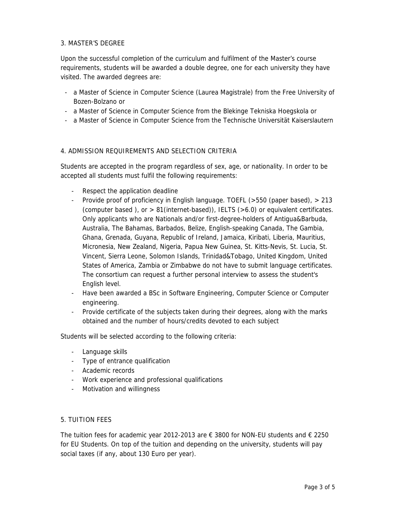#### 3. MASTER'S DEGREE

Upon the successful completion of the curriculum and fulfilment of the Master's course requirements, students will be awarded a double degree, one for each university they have visited. The awarded degrees are:

- a Master of Science in Computer Science (Laurea Magistrale) from the Free University of Bozen-Bolzano or
- a Master of Science in Computer Science from the Blekinge Tekniska Hoegskola or
- a Master of Science in Computer Science from the Technische Universität Kaiserslautern

#### 4. ADMISSION REQUIREMENTS AND SELECTION CRITERIA

Students are accepted in the program regardless of sex, age, or nationality. In order to be accepted all students must fulfil the following requirements:

- Respect the application deadline
- Provide proof of proficiency in English language. TOEFL (>550 (paper based), > 213 (computer based ), or  $> 81$  (internet-based)), IELTS ( $>6.0$ ) or equivalent certificates. Only applicants who are Nationals and/or first-degree-holders of Antigua&Barbuda, Australia, The Bahamas, Barbados, Belize, English-speaking Canada, The Gambia, Ghana, Grenada, Guyana, Republic of Ireland, Jamaica, Kiribati, Liberia, Mauritius, Micronesia, New Zealand, Nigeria, Papua New Guinea, St. Kitts-Nevis, St. Lucia, St. Vincent, Sierra Leone, Solomon Islands, Trinidad&Tobago, United Kingdom, United States of America, Zambia or Zimbabwe do not have to submit language certificates. The consortium can request a further personal interview to assess the student's English level.
- Have been awarded a BSc in Software Engineering, Computer Science or Computer engineering.
- Provide certificate of the subjects taken during their degrees, along with the marks obtained and the number of hours/credits devoted to each subject

Students will be selected according to the following criteria:

- Language skills
- Type of entrance qualification
- Academic records
- Work experience and professional qualifications
- Motivation and willingness

#### 5. TUITION FEES

The tuition fees for academic year 2012-2013 are  $\epsilon$  3800 for NON-EU students and  $\epsilon$  2250 for EU Students. On top of the tuition and depending on the university, students will pay social taxes (if any, about 130 Euro per year).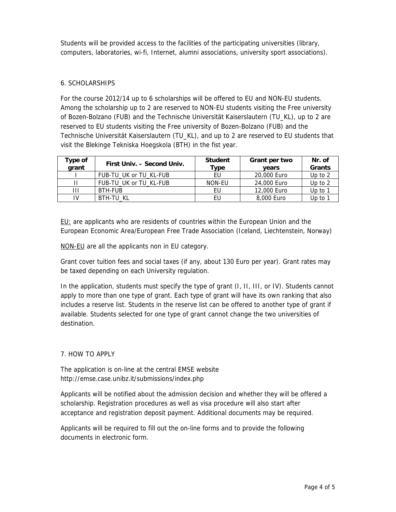Students will be provided access to the facilities of the participating universities (library, computers, laboratories, wi-fi, Internet, alumni associations, university sport associations).

#### 6. SCHOLARSHIPS

For the course 2012/14 up to 6 scholarships will be offered to EU and NON-EU students. Among the scholarship up to 2 are reserved to NON-EU students visiting the Free university of Bozen-Bolzano (FUB) and the Technische Universität Kaiserslautern (TU\_KL), up to 2 are reserved to EU students visiting the Free university of Bozen-Bolzano (FUB) and the Technische Universität Kaiserslautern (TU\_KL), and up to 2 are reserved to EU students that visit the Blekinge Tekniska Hoegskola (BTH) in the fist year.

| Type of<br>grant | First Univ. - Second Univ. | <b>Student</b><br>Type | Grant per two<br>vears | Nr. of<br>Grants |
|------------------|----------------------------|------------------------|------------------------|------------------|
|                  | FUB-TU UK or TU KL-FUB     | EU                     | 20,000 Euro            | Up to $2$        |
|                  | FUB-TU UK or TU KL-FUB     | NON-EU                 | 24,000 Euro            | Up to $2$        |
| Ш                | BTH-FUB                    | EU                     | 12,000 Euro            | Up to $1$        |
| IV               | BTH-TU KL                  | EU                     | 8,000 Euro             | Up to $1$        |

EU: are applicants who are residents of countries within the European Union and the European Economic Area/European Free Trade Association (Iceland, Liechtenstein, Norway)

NON-EU are all the applicants non in EU category.

Grant cover tuition fees and social taxes (if any, about 130 Euro per year). Grant rates may be taxed depending on each University regulation.

In the application, students must specify the type of grant (I, II, III, or IV). Students cannot apply to more than one type of grant. Each type of grant will have its own ranking that also includes a reserve list. Students in the reserve list can be offered to another type of grant if available. Students selected for one type of grant cannot change the two universities of destination.

#### 7. HOW TO APPLY

The application is on-line at the central EMSE website http://emse.case.unibz.it/submissions/index.php

Applicants will be notified about the admission decision and whether they will be offered a scholarship. Registration procedures as well as visa procedure will also start after acceptance and registration deposit payment. Additional documents may be required.

Applicants will be required to fill out the on-line forms and to provide the following documents in electronic form.